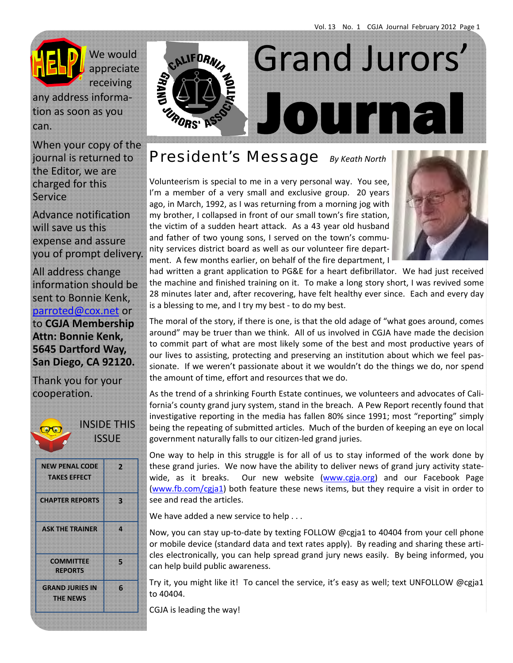

We would appreciate receiving

any address informa‐ tion as soon as you can.

When your copy of the journal is returned to the Editor, we are charged for this Service

Advance notification will save us this expense and assure you of prompt delivery.

All address change information should be sent to Bonnie Kenk, parroted@cox.net or to **CGJA Membership Attn: Bonnie Kenk, 5645 Dartford Way, San Diego, CA 92120.** 

Thank you for your cooperation.



INSIDE THIS **ISSUE** 

| <b>NEW PENAL CODE</b><br><b>TAKES EFFECT</b> | л  |
|----------------------------------------------|----|
| <b>CHAPTER REPORTS</b>                       | k) |
| <b>ASK THE TRAINER</b>                       | n  |
| <b>COMMITTEE</b><br><b>REPORTS</b>           | B  |
| <b>GRAND JURIES IN</b><br>THENEWS            | G. |



*President's Message By Keath North*

Volunteerism is special to me in a very personal way. You see, I'm a member of a very small and exclusive group. 20 years ago, in March, 1992, as I was returning from a morning jog with my brother, I collapsed in front of our small town's fire station, the victim of a sudden heart attack. As a 43 year old husband and father of two young sons, I served on the town's community services district board as well as our volunteer fire depart‐ ment. A few months earlier, on behalf of the fire department, I



had written a grant application to PG&E for a heart defibrillator. We had just received the machine and finished training on it. To make a long story short, I was revived some 28 minutes later and, after recovering, have felt healthy ever since. Each and every day is a blessing to me, and I try my best ‐ to do my best.

The moral of the story, if there is one, is that the old adage of "what goes around, comes around" may be truer than we think. All of us involved in CGJA have made the decision to commit part of what are most likely some of the best and most productive years of our lives to assisting, protecting and preserving an institution about which we feel pas‐ sionate. If we weren't passionate about it we wouldn't do the things we do, nor spend the amount of time, effort and resources that we do.

As the trend of a shrinking Fourth Estate continues, we volunteers and advocates of Cali‐ fornia's county grand jury system, stand in the breach. A Pew Report recently found that investigative reporting in the media has fallen 80% since 1991; most "reporting" simply being the repeating of submitted articles. Much of the burden of keeping an eye on local government naturally falls to our citizen‐led grand juries.

One way to help in this struggle is for all of us to stay informed of the work done by these grand juries. We now have the ability to deliver news of grand jury activity state‐ wide, as it breaks. Our new website (www.cgja.org) and our Facebook Page (www.fb.com/cgja1) both feature these news items, but they require a visit in order to see and read the articles.

We have added a new service to help . . .

Now, you can stay up‐to‐date by texting FOLLOW @cgja1 to 40404 from your cell phone or mobile device (standard data and text rates apply). By reading and sharing these articles electronically, you can help spread grand jury news easily. By being informed, you can help build public awareness.

Try it, you might like it! To cancel the service, it's easy as well; text UNFOLLOW @cgja1 to 40404.

CGJA is leading the way!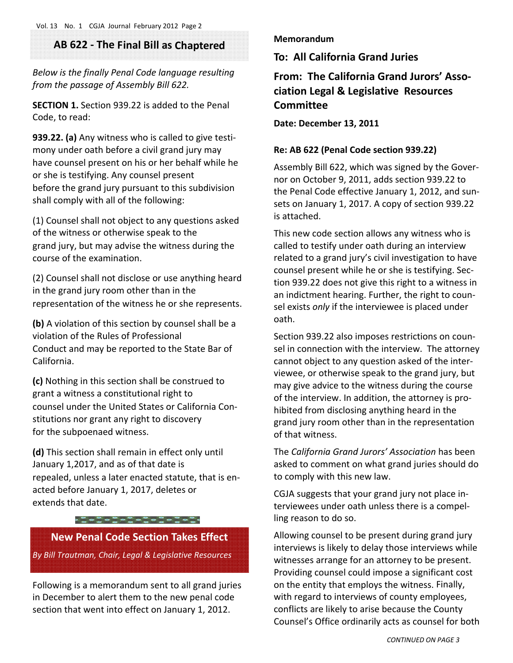# **AB 622 ‐ The Final Bill as Chaptered**

*Below is the finally Penal Code language resulting from the passage of Assembly Bill 622.*

**SECTION 1.** Section 939.22 is added to the Penal Code, to read:

**939.22. (a)** Any witness who is called to give testi‐ mony under oath before a civil grand jury may have counsel present on his or her behalf while he or she is testifying. Any counsel present before the grand jury pursuant to this subdivision shall comply with all of the following:

(1) Counsel shall not object to any questions asked of the witness or otherwise speak to the grand jury, but may advise the witness during the course of the examination.

(2) Counsel shall not disclose or use anything heard in the grand jury room other than in the representation of the witness he or she represents.

**(b)** A violation of this section by counsel shall be a violation of the Rules of Professional Conduct and may be reported to the State Bar of California.

**(c)** Nothing in this section shall be construed to grant a witness a constitutional right to counsel under the United States or California Con‐ stitutions nor grant any right to discovery for the subpoenaed witness.

**(d)** This section shall remain in effect only until January 1,2017, and as of that date is repealed, unless a later enacted statute, that is en‐ acted before January 1, 2017, deletes or extends that date.

## $-2-2-2-2-2-2-2-2$

# **New Penal Code Section Takes Effect**

*By Bill Trautman, Chair, Legal & Legislative Resources*

Following is a memorandum sent to all grand juries in December to alert them to the new penal code section that went into effect on January 1, 2012.

### **Memorandum**

**To: All California Grand Juries**

**From: The California Grand Jurors' Asso‐ ciation Legal & Legislative Resources Committee**

**Date: December 13, 2011**

## **Re: AB 622 (Penal Code section 939.22)**

Assembly Bill 622, which was signed by the Gover‐ nor on October 9, 2011, adds section 939.22 to the Penal Code effective January 1, 2012, and sun‐ sets on January 1, 2017. A copy of section 939.22 is attached.

This new code section allows any witness who is called to testify under oath during an interview related to a grand jury's civil investigation to have counsel present while he or she is testifying. Sec‐ tion 939.22 does not give this right to a witness in an indictment hearing. Further, the right to coun‐ sel exists *only* if the interviewee is placed under oath.

Section 939.22 also imposes restrictions on coun‐ sel in connection with the interview. The attorney cannot object to any question asked of the inter‐ viewee, or otherwise speak to the grand jury, but may give advice to the witness during the course of the interview. In addition, the attorney is pro‐ hibited from disclosing anything heard in the grand jury room other than in the representation of that witness.

The *California Grand Jurors' Association* has been asked to comment on what grand juries should do to comply with this new law.

CGJA suggests that your grand jury not place in‐ terviewees under oath unless there is a compel‐ ling reason to do so.

Allowing counsel to be present during grand jury interviews is likely to delay those interviews while witnesses arrange for an attorney to be present. Providing counsel could impose a significant cost on the entity that employs the witness. Finally, with regard to interviews of county employees, conflicts are likely to arise because the County Counsel's Office ordinarily acts as counsel for both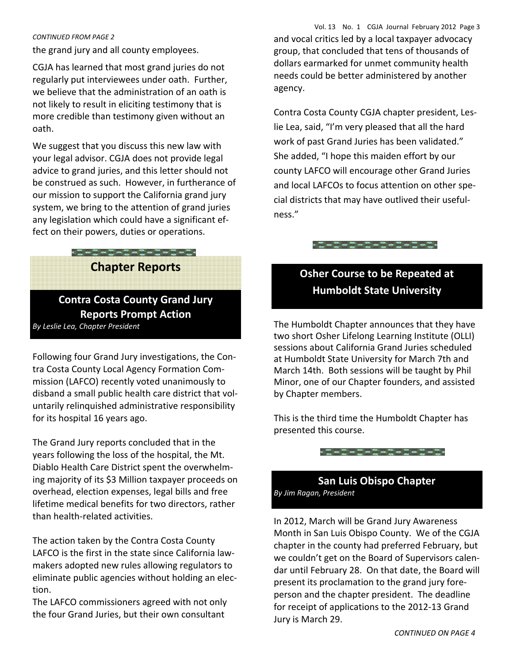### *CONTINUED FROM PAGE 2*

the grand jury and all county employees.

CGJA has learned that most grand juries do not regularly put interviewees under oath. Further, we believe that the administration of an oath is not likely to result in eliciting testimony that is more credible than testimony given without an oath.

We suggest that you discuss this new law with your legal advisor. CGJA does not provide legal advice to grand juries, and this letter should not be construed as such. However, in furtherance of our mission to support the California grand jury system, we bring to the attention of grand juries any legislation which could have a significant ef‐ fect on their powers, duties or operations.

# $\frac{1}{2} - \frac{1}{2} - \frac{1}{2} - \frac{1}{2} - \frac{1}{2} - \frac{1}{2} - \frac{1}{2} - \frac{1}{2} - \frac{1}{2} - \frac{1}{2} - \frac{1}{2} - \frac{1}{2} - \frac{1}{2} - \frac{1}{2} - \frac{1}{2} - \frac{1}{2} - \frac{1}{2} - \frac{1}{2} - \frac{1}{2} - \frac{1}{2} - \frac{1}{2} - \frac{1}{2} - \frac{1}{2} - \frac{1}{2} - \frac{1}{2} - \frac{1}{2} - \frac{1}{2} - \frac{1$ **Chapter Reports**

# **Contra Costa County Grand Jury Reports Prompt Action**

Following four Grand Jury investigations, the Con‐ tra Costa County Local Agency Formation Com‐ mission (LAFCO) recently voted unanimously to disband a small public health care district that vol‐ untarily relinquished administrative responsibility for its hospital 16 years ago.

The Grand Jury reports concluded that in the years following the loss of the hospital, the Mt. Diablo Health Care District spent the overwhelm‐ ing majority of its \$3 Million taxpayer proceeds on overhead, election expenses, legal bills and free lifetime medical benefits for two directors, rather than health‐related activities.

The action taken by the Contra Costa County LAFCO is the first in the state since California law‐ makers adopted new rules allowing regulators to eliminate public agencies without holding an elec‐ tion.

The LAFCO commissioners agreed with not only the four Grand Juries, but their own consultant

Vol. 13 No. 1 CGJA Journal February 2012 Page 3 and vocal critics led by a local taxpayer advocacy group, that concluded that tens of thousands of dollars earmarked for unmet community health needs could be better administered by another agency.

Contra Costa County CGJA chapter president, Les‐ lie Lea, said, "I'm very pleased that all the hard work of past Grand Juries has been validated." She added, "I hope this maiden effort by our county LAFCO will encourage other Grand Juries and local LAFCOs to focus attention on other spe‐ cial districts that may have outlived their useful‐ ness."



# **Osher Course to be Repeated at Humboldt State University**

*By Leslie Lea, Chapter President*  The Humboldt Chapter announces that they have two short Osher Lifelong Learning Institute (OLLI) sessions about California Grand Juries scheduled at Humboldt State University for March 7th and March 14th. Both sessions will be taught by Phil Minor, one of our Chapter founders, and assisted by Chapter members.

> This is the third time the Humboldt Chapter has presented this course.



# **San Luis Obispo Chapter**  *By Jim Ragan, President*

In 2012, March will be Grand Jury Awareness Month in San Luis Obispo County. We of the CGJA chapter in the county had preferred February, but we couldn't get on the Board of Supervisors calen‐ dar until February 28. On that date, the Board will present its proclamation to the grand jury fore‐ person and the chapter president. The deadline for receipt of applications to the 2012‐13 Grand Jury is March 29.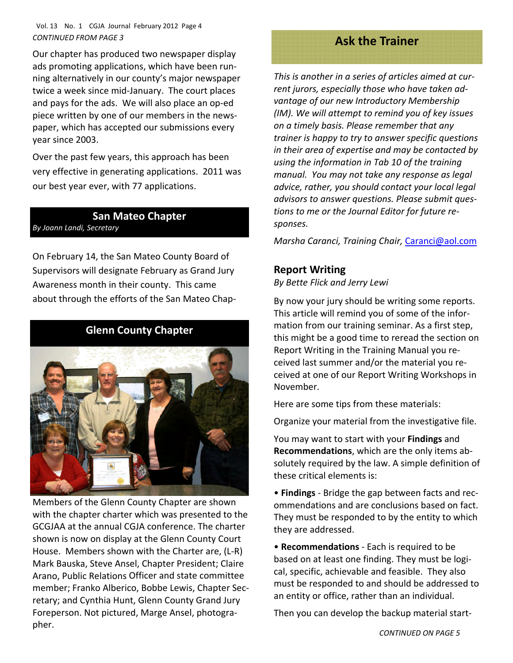## Vol. 13 No. 1 CGJA Journal February 2012 Page 4 *CONTINUED FROM PAGE 3*

Our chapter has produced two newspaper display ads promoting applications, which have been run‐ ning alternatively in our county's major newspaper twice a week since mid‐January. The court places and pays for the ads. We will also place an op‐ed piece written by one of our members in the news‐ paper, which has accepted our submissions every year since 2003.

Over the past few years, this approach has been very effective in generating applications. 2011 was our best year ever, with 77 applications.

## **San Mateo Chapter** *By Joann Landi, Secretary*

On February 14, the San Mateo County Board of Supervisors will designate February as Grand Jury Awareness month in their county. This came about through the efforts of the San Mateo Chap‐

# **Glenn County Chapter**



Members of the Glenn County Chapter are shown with the chapter charter which was presented to the GCGJAA at the annual CGJA conference. The charter shown is now on display at the Glenn County Court House. Members shown with the Charter are, (L‐R) Mark Bauska, Steve Ansel, Chapter President; Claire Arano, Public Relations Officer and state committee member; Franko Alberico, Bobbe Lewis, Chapter Sec‐ retary; and Cynthia Hunt, Glenn County Grand Jury Foreperson. Not pictured, Marge Ansel, photogra‐ pher.

# **Ask the Trainer**

*This is another in a series of articles aimed at cur‐ rent jurors, especially those who have taken ad‐ vantage of our new Introductory Membership (IM). We will attempt to remind you of key issues on a timely basis. Please remember that any trainer is happy to try to answer specific questions in their area of expertise and may be contacted by using the information in Tab 10 of the training manual. You may not take any response as legal advice, rather, you should contact your local legal advisors to answer questions. Please submit ques‐ tions to me or the Journal Editor for future re‐ sponses.*

*Marsha Caranci, Training Chair,* Caranci@aol.com

# **Report Writing**

*By Bette Flick and Jerry Lewi*

By now your jury should be writing some reports. This article will remind you of some of the infor‐ mation from our training seminar. As a first step, this might be a good time to reread the section on Report Writing in the Training Manual you re‐ ceived last summer and/or the material you re‐ ceived at one of our Report Writing Workshops in November.

Here are some tips from these materials:

Organize your material from the investigative file.

You may want to start with your **Findings** and **Recommendations**, which are the only items ab‐ solutely required by the law. A simple definition of these critical elements is:

• **Findings** ‐ Bridge the gap between facts and rec‐ ommendations and are conclusions based on fact. They must be responded to by the entity to which they are addressed.

• **Recommendations** ‐ Each is required to be based on at least one finding. They must be logi‐ cal, specific, achievable and feasible. They also must be responded to and should be addressed to an entity or office, rather than an individual.

Then you can develop the backup material start‐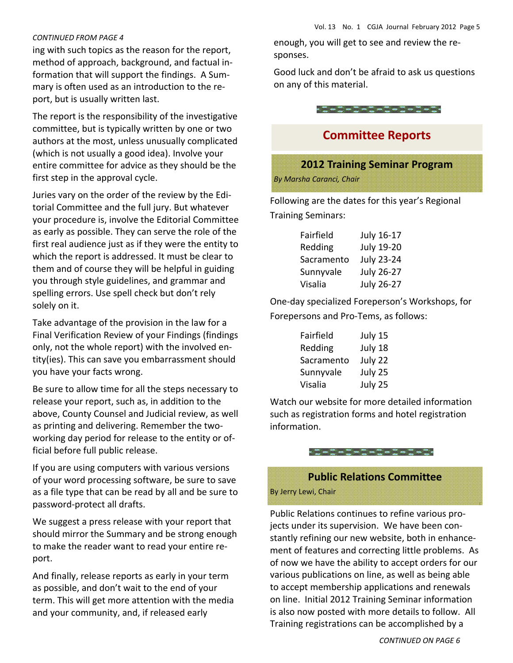### *CONTINUED FROM PAGE 4*

ing with such topics as the reason for the report, method of approach, background, and factual in‐ formation that will support the findings. A Sum‐ mary is often used as an introduction to the re‐ port, but is usually written last.

The report is the responsibility of the investigative committee, but is typically written by one or two authors at the most, unless unusually complicated (which is not usually a good idea). Involve your entire committee for advice as they should be the first step in the approval cycle.

Juries vary on the order of the review by the Edi‐ torial Committee and the full jury. But whatever your procedure is, involve the Editorial Committee as early as possible. They can serve the role of the first real audience just as if they were the entity to which the report is addressed. It must be clear to them and of course they will be helpful in guiding you through style guidelines, and grammar and spelling errors. Use spell check but don't rely solely on it.

Take advantage of the provision in the law for a Final Verification Review of your Findings (findings only, not the whole report) with the involved en‐ tity(ies). This can save you embarrassment should you have your facts wrong.

Be sure to allow time for all the steps necessary to release your report, such as, in addition to the above, County Counsel and Judicial review, as well as printing and delivering. Remember the two‐ working day period for release to the entity or of‐ ficial before full public release.

If you are using computers with various versions of your word processing software, be sure to save as a file type that can be read by all and be sure to password‐protect all drafts.

We suggest a press release with your report that should mirror the Summary and be strong enough to make the reader want to read your entire re‐ port.

And finally, release reports as early in your term as possible, and don't wait to the end of your term. This will get more attention with the media and your community, and, if released early

enough, you will get to see and review the re‐ sponses.

Good luck and don't be afraid to ask us questions on any of this material.



# **Committee Reports**

## **2012 Training Seminar Program**

*By Marsha Caranci, Chair*

Following are the dates for this year's Regional Training Seminars:

| Fairfield  | July 16-17        |
|------------|-------------------|
| Redding    | <b>July 19-20</b> |
| Sacramento | <b>July 23-24</b> |
| Sunnyvale  | <b>July 26-27</b> |
| Visalia    | <b>July 26-27</b> |

One‐day specialized Foreperson's Workshops, for Forepersons and Pro‐Tems, as follows:

| Fairfield  | July 15 |
|------------|---------|
| Redding    | July 18 |
| Sacramento | July 22 |
| Sunnyvale  | July 25 |
| Visalia    | July 25 |

Watch our website for more detailed information such as registration forms and hotel registration information.



# **Public Relations Committee**

By Jerry Lewi, Chair

Public Relations continues to refine various pro‐ jects under its supervision. We have been con‐ stantly refining our new website, both in enhance‐ ment of features and correcting little problems. As of now we have the ability to accept orders for our various publications on line, as well as being able to accept membership applications and renewals on line. Initial 2012 Training Seminar information is also now posted with more details to follow. All Training registrations can be accomplished by a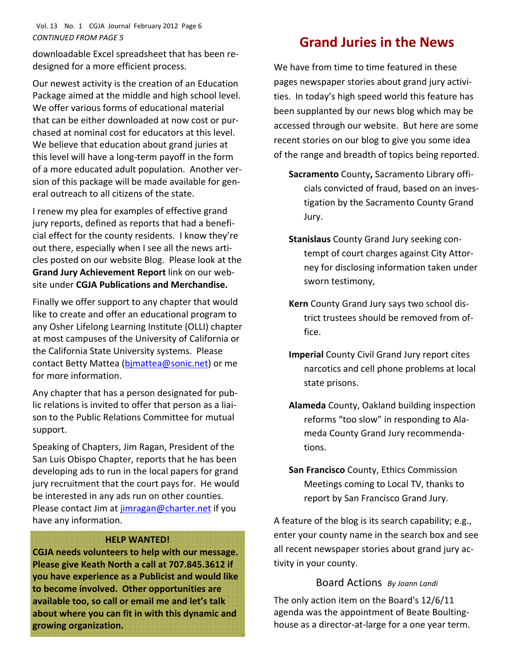## Vol. 13 No. 1 CGJA Journal February 2012 Page 6 *CONTINUED FROM PAGE 5*

downloadable Excel spreadsheet that has been re‐ designed for a more efficient process.

Our newest activity is the creation of an Education Package aimed at the middle and high school level. We offer various forms of educational material that can be either downloaded at now cost or pur‐ chased at nominal cost for educators at this level. We believe that education about grand juries at this level will have a long‐term payoff in the form of a more educated adult population. Another ver‐ sion of this package will be made available for gen‐ eral outreach to all citizens of the state.

I renew my plea for examples of effective grand jury reports, defined as reports that had a benefi‐ cial effect for the county residents. I know they're out there, especially when I see all the news arti‐ cles posted on our website Blog. Please look at the **Grand Jury Achievement Report** link on our web‐ site under **CGJA Publications and Merchandise.**

Finally we offer support to any chapter that would like to create and offer an educational program to any Osher Lifelong Learning Institute (OLLI) chapter at most campuses of the University of California or the California State University systems. Please contact Betty Mattea (bimattea@sonic.net) or me for more information.

Any chapter that has a person designated for pub‐ lic relations is invited to offer that person as a liai‐ son to the Public Relations Committee for mutual support.

Speaking of Chapters, Jim Ragan, President of the San Luis Obispo Chapter, reports that he has been developing ads to run in the local papers for grand jury recruitment that the court pays for. He would be interested in any ads run on other counties. Please contact Jim at jimragan@charter.net if you have any information.

## **HELP WANTED!**

**CGJA needs volunteers to help with our message. Please give Keath North a call at 707.845.3612 if you have experience as a Publicist and would like to become involved. Other opportunities are available too, so call or email me and let's talk about where you can fit in with this dynamic and growing organization.**

# **Grand Juries in the News**

We have from time to time featured in these pages newspaper stories about grand jury activi‐ ties. In today's high speed world this feature has been supplanted by our news blog which may be accessed through our website. But here are some recent stories on our blog to give you some idea of the range and breadth of topics being reported.

- **Sacramento** County**,** Sacramento Library offi‐ cials convicted of fraud, based on an inves‐ tigation by the Sacramento County Grand Jury.
- **Stanislaus** County Grand Jury seeking con‐ tempt of court charges against City Attor‐ ney for disclosing information taken under sworn testimony,
- **Kern** County Grand Jury says two school dis‐ trict trustees should be removed from of‐ fice.
- **Imperial** County Civil Grand Jury report cites narcotics and cell phone problems at local state prisons.
- **Alameda** County, Oakland building inspection reforms "too slow" in responding to Ala‐ meda County Grand Jury recommenda‐ tions.
- **San Francisco** County, Ethics Commission Meetings coming to Local TV, thanks to report by San Francisco Grand Jury.

A feature of the blog is its search capability; e.g., enter your county name in the search box and see all recent newspaper stories about grand jury ac‐ tivity in your county.

## Board Actions *By Joann Landi*

The only action item on the Board's 12/6/11 agenda was the appointment of Beate Boulting‐ house as a director‐at‐large for a one year term.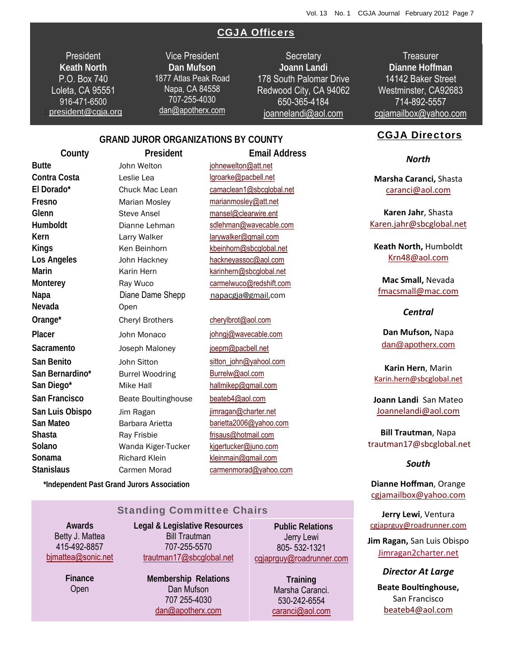## CGJA Officers

**President Keath North**  P.O. Box 740 Loleta, CA 95551 916-471-6500 : president@cgja.org

Vice President **Dan Mufson** 1877 Atlas Peak Road Napa, CA 84558 707-255-4030 dan@apotherx.com

**Secretary Joann Landi** 178 South Palomar Drive Redwood City, CA 94062 650-365-4184 joannelandi@aol.com

**Treasurer Dianne Hoffman**  14142 Baker Street Westminster, CA92683 714-892-5557 cgjamailbox@yahoo.com

#### CGJA Directors

*North*

**Marsha Caranci,** Shasta caranci@aol.com

**Karen Jahr**, Shasta Karen.jahr@sbcglobal.net

**Keath North,** Humboldt Krn48@aol.com

**Mac Small,** Nevada fmacsmall@mac.com

### *Central*

**Dan Mufson,** Napa dan@apotherx.com

**Karin Hern**, Marin Karin.hern@sbcglobal.net

**Joann Landi** San Mateo Joannelandi@aol.com

**Bill Trautman**, Napa trautman17@sbcglobal.net

#### *South*

**Dianne Hoffman**, Orange cgjamailbox@yahoo.com

**Jerry Lewi**, Ventura cgjaprguy@roadrunner.com

**Jim Ragan,** San Luis Obispo Jimragan2charter.net

*Director At Large* **Beate BoulƟnghouse,** San Francisco beateb4@aol.com

# **GRAND JUROR ORGANIZATIONS BY COUNTY**

**County President Email Address Butte Butte John Welton johnewelton@att.net** Contra Costa Leslie Lea lgroarke@pacbell.net **El Dorado\*** Chuck Mac Lean camaclean1@sbcglobal.net **Nevada** Open San Bernardino\* Burrel Woodring Burrelw@aol.com **San Diego\*** Mike Hall hallmikep@gmail.com **San Francisco** Beate Boultinghouse beateb4@aol.com **San Luis Obispo** Jim Ragan **jimragan@charter.net** San Mateo **Barbara Arietta** barietta2006@yahoo.com **Shasta** Ray Frisbie **Ray Frisbie** frisaus@hotmail.com **Solano** Wanda Kiger-Tucker kjgertucker@juno.com Stanislaus Carmen Morad carmenmorad@yahoo.com **Sonama Richard Klein Kleinmain@gmail.com** 

**Fresno** Marian Mosley marianmosley@att.net **Glenn** Steve Ansel mansel@clearwire.ent **Humboldt** Dianne Lehman sdlehman@wavecable.com **Kern** Larry Walker larywalker@gmail.com Kings Ken Beinhorn kbeinhorn@sbcglobal.net **Los Angeles** John Hackney hackneyassoc@aol.com **Marin** Karin Hern karinhern@sbcglobal.net **Monterey Ray Wuco** carmelwuco@redshift.com **Napa Diane Dame Shepp napacgja@gmail.com Orange<sup>\*</sup>** Cheryl Brothers cherylbrot@aol.com Placer *John Monaco* johngj@wavecable.com Sacramento **Joseph Maloney** joepm@pacbell.net San Benito **San Benito** John Sitton sitton sitton john@yahool.com

 **\*Independent Past Grand Jurors Association**

Standing Committee Chairs

**Awards**  Betty J. Mattea 415-492-8857 bjmattea@sonic.net

> **Finance**  Open

**Legal & Legislative Resources**  Bill Trautman 707-255-5570 trautman17@sbcglobal.net

> **Membership Relations**  Dan Mufson 707 255-4030 dan@apotherx.com

0**Public Relations**  Jerry Lewi 805- 532-1321 cgjaprguy@roadrunner.com

> **Training**  Marsha Caranci. 530-242-6554 caranci@aol.com